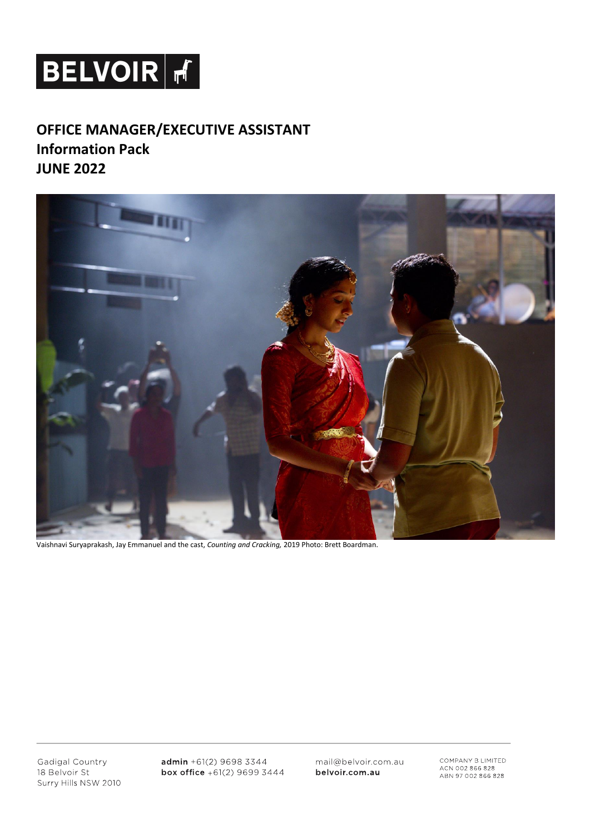# **BELVOIR F**

# **OFFICE MANAGER/EXECUTIVE ASSISTANT Information Pack JUNE 2022**



Vaishnavi Suryaprakash, Jay Emmanuel and the cast, *Counting and Cracking,* 2019 Photo: Brett Boardman.

Gadigal Country 18 Belvoir St Surry Hills NSW 2010  $admin + 61(2) 9698 3344$ box office +61(2) 9699 3444 mail@belvoir.com.au belvoir.com.au

COMPANY B LIMITED<br>ACN 002 866 828<br>ABN 97 002 866 828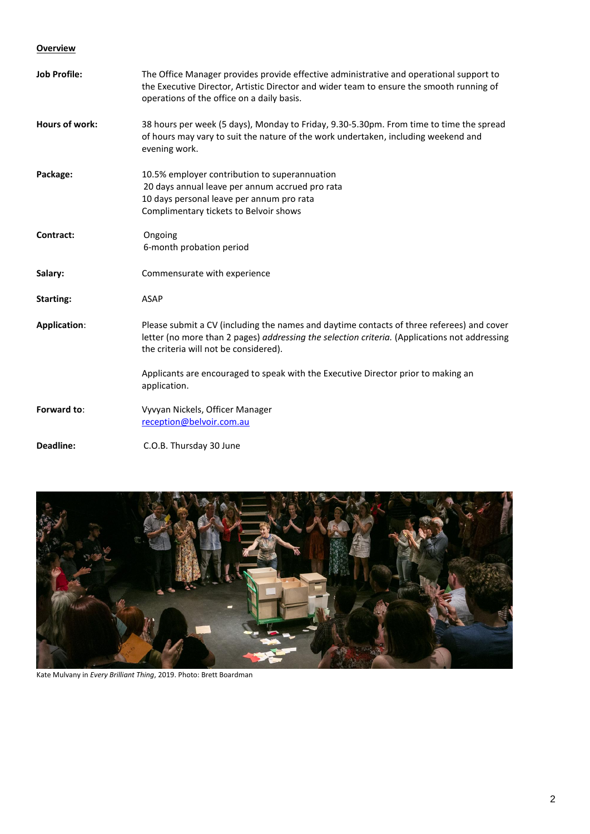#### **Overview**

| <b>Job Profile:</b> | The Office Manager provides provide effective administrative and operational support to<br>the Executive Director, Artistic Director and wider team to ensure the smooth running of<br>operations of the office on a daily basis.   |
|---------------------|-------------------------------------------------------------------------------------------------------------------------------------------------------------------------------------------------------------------------------------|
| Hours of work:      | 38 hours per week (5 days), Monday to Friday, 9.30-5.30pm. From time to time the spread<br>of hours may vary to suit the nature of the work undertaken, including weekend and<br>evening work.                                      |
| Package:            | 10.5% employer contribution to superannuation<br>20 days annual leave per annum accrued pro rata<br>10 days personal leave per annum pro rata<br>Complimentary tickets to Belvoir shows                                             |
| Contract:           | Ongoing<br>6-month probation period                                                                                                                                                                                                 |
| Salary:             | Commensurate with experience                                                                                                                                                                                                        |
| <b>Starting:</b>    | <b>ASAP</b>                                                                                                                                                                                                                         |
| <b>Application:</b> | Please submit a CV (including the names and daytime contacts of three referees) and cover<br>letter (no more than 2 pages) addressing the selection criteria. (Applications not addressing<br>the criteria will not be considered). |
|                     | Applicants are encouraged to speak with the Executive Director prior to making an<br>application.                                                                                                                                   |
| Forward to:         | Vyvyan Nickels, Officer Manager<br>reception@belvoir.com.au                                                                                                                                                                         |
| Deadline:           | C.O.B. Thursday 30 June                                                                                                                                                                                                             |



Kate Mulvany in *Every Brilliant Thing*, 2019. Photo: Brett Boardman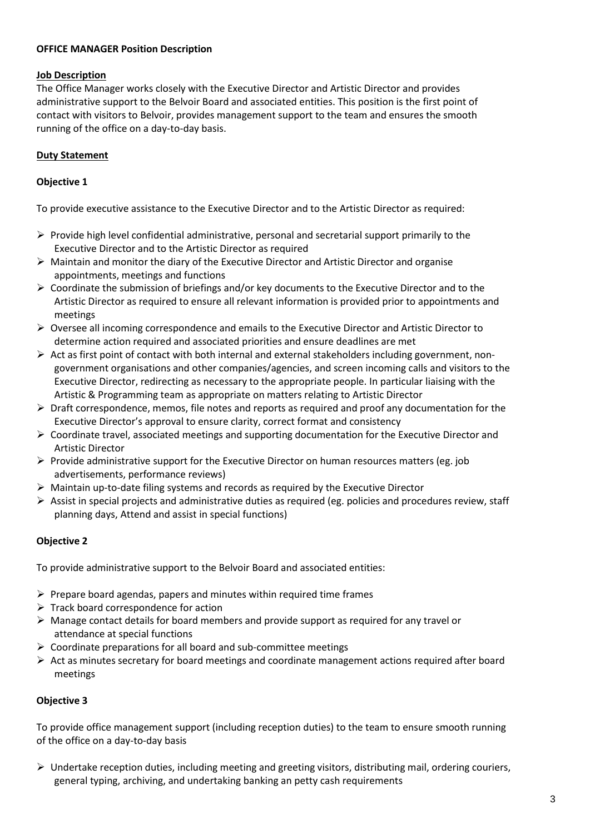#### **OFFICE MANAGER Position Description**

#### **Job Description**

The Office Manager works closely with the Executive Director and Artistic Director and provides administrative support to the Belvoir Board and associated entities. This position is the first point of contact with visitors to Belvoir, provides management support to the team and ensures the smooth running of the office on a day-to-day basis.

#### **Duty Statement**

#### **Objective 1**

To provide executive assistance to the Executive Director and to the Artistic Director as required:

- $\triangleright$  Provide high level confidential administrative, personal and secretarial support primarily to the Executive Director and to the Artistic Director as required
- $\triangleright$  Maintain and monitor the diary of the Executive Director and Artistic Director and organise appointments, meetings and functions
- $\triangleright$  Coordinate the submission of briefings and/or key documents to the Executive Director and to the Artistic Director as required to ensure all relevant information is provided prior to appointments and meetings
- $\triangleright$  Oversee all incoming correspondence and emails to the Executive Director and Artistic Director to determine action required and associated priorities and ensure deadlines are met
- $\triangleright$  Act as first point of contact with both internal and external stakeholders including government, nongovernment organisations and other companies/agencies, and screen incoming calls and visitors to the Executive Director, redirecting as necessary to the appropriate people. In particular liaising with the Artistic & Programming team as appropriate on matters relating to Artistic Director
- $\triangleright$  Draft correspondence, memos, file notes and reports as required and proof any documentation for the Executive Director's approval to ensure clarity, correct format and consistency
- $\triangleright$  Coordinate travel, associated meetings and supporting documentation for the Executive Director and Artistic Director
- $\triangleright$  Provide administrative support for the Executive Director on human resources matters (eg. job advertisements, performance reviews)
- $\triangleright$  Maintain up-to-date filing systems and records as required by the Executive Director
- $\triangleright$  Assist in special projects and administrative duties as required (eg. policies and procedures review, staff planning days, Attend and assist in special functions)

#### **Objective 2**

To provide administrative support to the Belvoir Board and associated entities:

- $\triangleright$  Prepare board agendas, papers and minutes within required time frames
- $\triangleright$  Track board correspondence for action
- $\triangleright$  Manage contact details for board members and provide support as required for any travel or attendance at special functions
- $\triangleright$  Coordinate preparations for all board and sub-committee meetings
- $\triangleright$  Act as minutes secretary for board meetings and coordinate management actions required after board meetings

#### **Objective 3**

To provide office management support (including reception duties) to the team to ensure smooth running of the office on a day-to-day basis

 $\triangleright$  Undertake reception duties, including meeting and greeting visitors, distributing mail, ordering couriers, general typing, archiving, and undertaking banking an petty cash requirements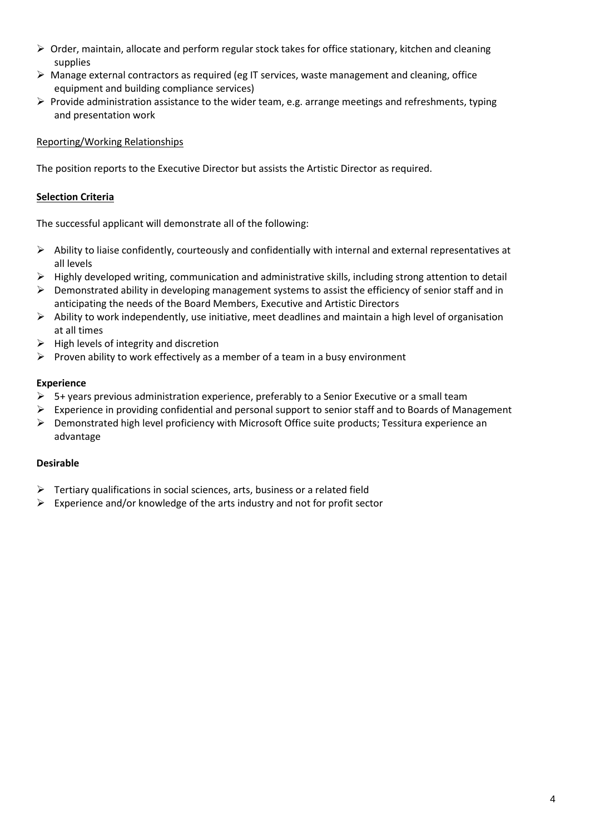- $\triangleright$  Order, maintain, allocate and perform regular stock takes for office stationary, kitchen and cleaning supplies
- $\triangleright$  Manage external contractors as required (eg IT services, waste management and cleaning, office equipment and building compliance services)
- $\triangleright$  Provide administration assistance to the wider team, e.g. arrange meetings and refreshments, typing and presentation work

#### Reporting/Working Relationships

The position reports to the Executive Director but assists the Artistic Director as required.

## **Selection Criteria**

The successful applicant will demonstrate all of the following:

- $\triangleright$  Ability to liaise confidently, courteously and confidentially with internal and external representatives at all levels
- $\triangleright$  Highly developed writing, communication and administrative skills, including strong attention to detail
- $\triangleright$  Demonstrated ability in developing management systems to assist the efficiency of senior staff and in anticipating the needs of the Board Members, Executive and Artistic Directors
- $\triangleright$  Ability to work independently, use initiative, meet deadlines and maintain a high level of organisation at all times
- $\triangleright$  High levels of integrity and discretion
- $\triangleright$  Proven ability to work effectively as a member of a team in a busy environment

#### **Experience**

- $\triangleright$  5+ years previous administration experience, preferably to a Senior Executive or a small team
- $\triangleright$  Experience in providing confidential and personal support to senior staff and to Boards of Management
- $\triangleright$  Demonstrated high level proficiency with Microsoft Office suite products; Tessitura experience an advantage

### **Desirable**

- $\triangleright$  Tertiary qualifications in social sciences, arts, business or a related field
- $\triangleright$  Experience and/or knowledge of the arts industry and not for profit sector